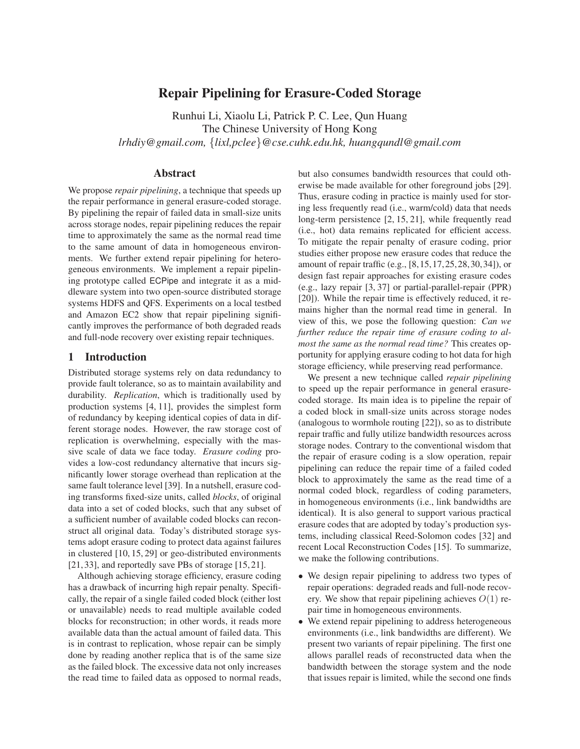# **Repair Pipelining for Erasure-Coded Storage**

Runhui Li, Xiaolu Li, Patrick P. C. Lee, Qun Huang The Chinese University of Hong Kong *lrhdiy@gmail.com,* {*lixl,pclee*}*@cse.cuhk.edu.hk, huangqundl@gmail.com*

# **Abstract**

We propose *repair pipelining*, a technique that speeds up the repair performance in general erasure-coded storage. By pipelining the repair of failed data in small-size units across storage nodes, repair pipelining reduces the repair time to approximately the same as the normal read time to the same amount of data in homogeneous environments. We further extend repair pipelining for heterogeneous environments. We implement a repair pipelining prototype called ECPipe and integrate it as a middleware system into two open-source distributed storage systems HDFS and QFS. Experiments on a local testbed and Amazon EC2 show that repair pipelining significantly improves the performance of both degraded reads and full-node recovery over existing repair techniques.

## **1 Introduction**

Distributed storage systems rely on data redundancy to provide fault tolerance, so as to maintain availability and durability. *Replication*, which is traditionally used by production systems [4, 11], provides the simplest form of redundancy by keeping identical copies of data in different storage nodes. However, the raw storage cost of replication is overwhelming, especially with the massive scale of data we face today. *Erasure coding* provides a low-cost redundancy alternative that incurs significantly lower storage overhead than replication at the same fault tolerance level [39]. In a nutshell, erasure coding transforms fixed-size units, called *blocks*, of original data into a set of coded blocks, such that any subset of a sufficient number of available coded blocks can reconstruct all original data. Today's distributed storage systems adopt erasure coding to protect data against failures in clustered [10, 15, 29] or geo-distributed environments [21, 33], and reportedly save PBs of storage [15, 21].

Although achieving storage efficiency, erasure coding has a drawback of incurring high repair penalty. Specifically, the repair of a single failed coded block (either lost or unavailable) needs to read multiple available coded blocks for reconstruction; in other words, it reads more available data than the actual amount of failed data. This is in contrast to replication, whose repair can be simply done by reading another replica that is of the same size as the failed block. The excessive data not only increases the read time to failed data as opposed to normal reads, but also consumes bandwidth resources that could otherwise be made available for other foreground jobs [29]. Thus, erasure coding in practice is mainly used for storing less frequently read (i.e., warm/cold) data that needs long-term persistence [2, 15, 21], while frequently read (i.e., hot) data remains replicated for efficient access. To mitigate the repair penalty of erasure coding, prior studies either propose new erasure codes that reduce the amount of repair traffic (e.g., [8,15,17,25,28,30,34]), or design fast repair approaches for existing erasure codes (e.g., lazy repair [3, 37] or partial-parallel-repair (PPR) [20]). While the repair time is effectively reduced, it remains higher than the normal read time in general. In view of this, we pose the following question: *Can we further reduce the repair time of erasure coding to almost the same as the normal read time?* This creates opportunity for applying erasure coding to hot data for high storage efficiency, while preserving read performance.

We present a new technique called *repair pipelining* to speed up the repair performance in general erasurecoded storage. Its main idea is to pipeline the repair of a coded block in small-size units across storage nodes (analogous to wormhole routing [22]), so as to distribute repair traffic and fully utilize bandwidth resources across storage nodes. Contrary to the conventional wisdom that the repair of erasure coding is a slow operation, repair pipelining can reduce the repair time of a failed coded block to approximately the same as the read time of a normal coded block, regardless of coding parameters, in homogeneous environments (i.e., link bandwidths are identical). It is also general to support various practical erasure codes that are adopted by today's production systems, including classical Reed-Solomon codes [32] and recent Local Reconstruction Codes [15]. To summarize, we make the following contributions.

- We design repair pipelining to address two types of repair operations: degraded reads and full-node recovery. We show that repair pipelining achieves  $O(1)$  repair time in homogeneous environments.
- We extend repair pipelining to address heterogeneous environments (i.e., link bandwidths are different). We present two variants of repair pipelining. The first one allows parallel reads of reconstructed data when the bandwidth between the storage system and the node that issues repair is limited, while the second one finds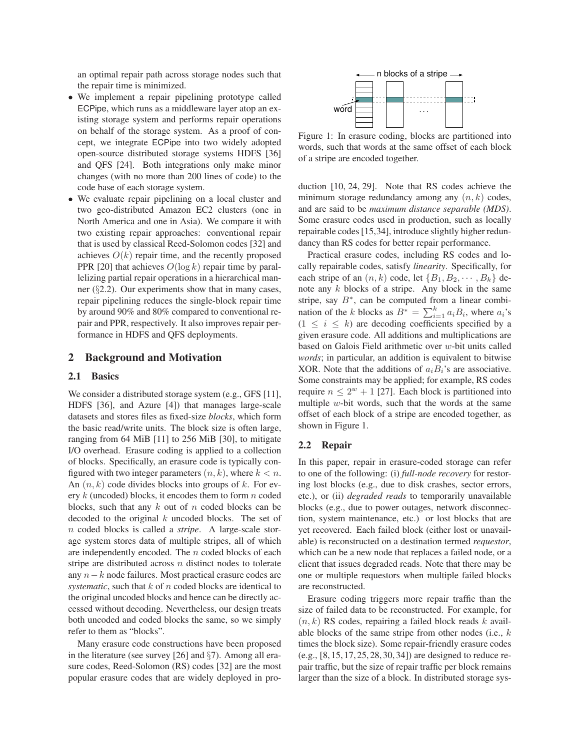an optimal repair path across storage nodes such that the repair time is minimized.

- We implement a repair pipelining prototype called ECPipe, which runs as a middleware layer atop an existing storage system and performs repair operations on behalf of the storage system. As a proof of concept, we integrate ECPipe into two widely adopted open-source distributed storage systems HDFS [36] and QFS [24]. Both integrations only make minor changes (with no more than 200 lines of code) to the code base of each storage system.
- We evaluate repair pipelining on a local cluster and two geo-distributed Amazon EC2 clusters (one in North America and one in Asia). We compare it with two existing repair approaches: conventional repair that is used by classical Reed-Solomon codes [32] and achieves  $O(k)$  repair time, and the recently proposed PPR [20] that achieves  $O(\log k)$  repair time by parallelizing partial repair operations in a hierarchical manner (§2.2). Our experiments show that in many cases, repair pipelining reduces the single-block repair time by around 90% and 80% compared to conventional repair and PPR, respectively. It also improves repair performance in HDFS and QFS deployments.

# **2 Background and Motivation**

#### **2.1 Basics**

We consider a distributed storage system (e.g., GFS [11], HDFS [36], and Azure [4]) that manages large-scale datasets and stores files as fixed-size *blocks*, which form the basic read/write units. The block size is often large, ranging from 64 MiB [11] to 256 MiB [30], to mitigate I/O overhead. Erasure coding is applied to a collection of blocks. Specifically, an erasure code is typically configured with two integer parameters  $(n, k)$ , where  $k < n$ . An  $(n, k)$  code divides blocks into groups of k. For every k (uncoded) blocks, it encodes them to form n coded blocks, such that any  $k$  out of n coded blocks can be decoded to the original  $k$  uncoded blocks. The set of n coded blocks is called a *stripe*. A large-scale storage system stores data of multiple stripes, all of which are independently encoded. The n coded blocks of each stripe are distributed across n distinct nodes to tolerate any n−k node failures. Most practical erasure codes are *systematic*, such that k of n coded blocks are identical to the original uncoded blocks and hence can be directly accessed without decoding. Nevertheless, our design treats both uncoded and coded blocks the same, so we simply refer to them as "blocks".

Many erasure code constructions have been proposed in the literature (see survey [26] and §7). Among all erasure codes, Reed-Solomon (RS) codes [32] are the most popular erasure codes that are widely deployed in pro-



Figure 1: In erasure coding, blocks are partitioned into words, such that words at the same offset of each block of a stripe are encoded together.

duction [10, 24, 29]. Note that RS codes achieve the minimum storage redundancy among any  $(n, k)$  codes, and are said to be *maximum distance separable (MDS)*. Some erasure codes used in production, such as locally repairable codes [15,34], introduce slightly higher redundancy than RS codes for better repair performance.

Practical erasure codes, including RS codes and locally repairable codes, satisfy *linearity*. Specifically, for each stripe of an  $(n, k)$  code, let  $\{B_1, B_2, \cdots, B_k\}$  denote any k blocks of a stripe. Any block in the same stripe, say  $B^*$ , can be computed from a linear combination of the k blocks as  $B^* = \sum_{i=1}^k a_i B_i$ , where  $a_i$ 's  $(1 \leq i \leq k)$  are decoding coefficients specified by a given erasure code. All additions and multiplications are based on Galois Field arithmetic over w-bit units called *words*; in particular, an addition is equivalent to bitwise XOR. Note that the additions of  $a_iB_i$ 's are associative. Some constraints may be applied; for example, RS codes require  $n \leq 2^w + 1$  [27]. Each block is partitioned into multiple  $w$ -bit words, such that the words at the same offset of each block of a stripe are encoded together, as shown in Figure 1.

#### **2.2 Repair**

In this paper, repair in erasure-coded storage can refer to one of the following: (i) *full-node recovery* for restoring lost blocks (e.g., due to disk crashes, sector errors, etc.), or (ii) *degraded reads* to temporarily unavailable blocks (e.g., due to power outages, network disconnection, system maintenance, etc.) or lost blocks that are yet recovered. Each failed block (either lost or unavailable) is reconstructed on a destination termed *requestor*, which can be a new node that replaces a failed node, or a client that issues degraded reads. Note that there may be one or multiple requestors when multiple failed blocks are reconstructed.

Erasure coding triggers more repair traffic than the size of failed data to be reconstructed. For example, for  $(n, k)$  RS codes, repairing a failed block reads k available blocks of the same stripe from other nodes (i.e., k times the block size). Some repair-friendly erasure codes (e.g., [8, 15, 17, 25, 28, 30, 34]) are designed to reduce repair traffic, but the size of repair traffic per block remains larger than the size of a block. In distributed storage sys-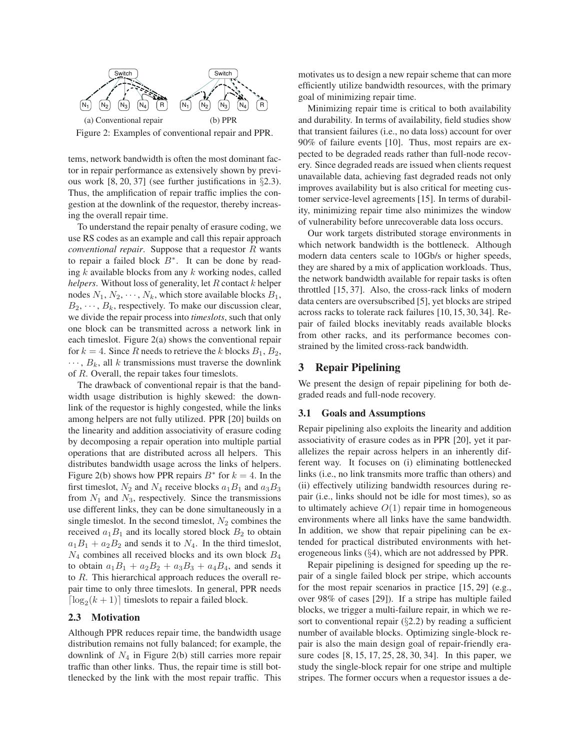

tems, network bandwidth is often the most dominant factor in repair performance as extensively shown by previous work [8, 20, 37] (see further justifications in §2.3). Thus, the amplification of repair traffic implies the congestion at the downlink of the requestor, thereby increasing the overall repair time.

To understand the repair penalty of erasure coding, we use RS codes as an example and call this repair approach *conventional repair*. Suppose that a requestor R wants to repair a failed block  $B^*$ . It can be done by reading  $k$  available blocks from any  $k$  working nodes, called *helpers*. Without loss of generality, let R contact k helper nodes  $N_1, N_2, \cdots, N_k$ , which store available blocks  $B_1$ ,  $B_2, \dots, B_k$ , respectively. To make our discussion clear, we divide the repair process into *timeslots*, such that only one block can be transmitted across a network link in each timeslot. Figure 2(a) shows the conventional repair for  $k = 4$ . Since R needs to retrieve the k blocks  $B_1, B_2,$  $\cdots$ ,  $B_k$ , all k transmissions must traverse the downlink of R. Overall, the repair takes four timeslots.

The drawback of conventional repair is that the bandwidth usage distribution is highly skewed: the downlink of the requestor is highly congested, while the links among helpers are not fully utilized. PPR [20] builds on the linearity and addition associativity of erasure coding by decomposing a repair operation into multiple partial operations that are distributed across all helpers. This distributes bandwidth usage across the links of helpers. Figure 2(b) shows how PPR repairs  $B^*$  for  $k = 4$ . In the first timeslot,  $N_2$  and  $N_4$  receive blocks  $a_1B_1$  and  $a_3B_3$ from  $N_1$  and  $N_3$ , respectively. Since the transmissions use different links, they can be done simultaneously in a single timeslot. In the second timeslot,  $N_2$  combines the received  $a_1B_1$  and its locally stored block  $B_2$  to obtain  $a_1B_1 + a_2B_2$  and sends it to  $N_4$ . In the third timeslot,  $N_4$  combines all received blocks and its own block  $B_4$ to obtain  $a_1B_1 + a_2B_2 + a_3B_3 + a_4B_4$ , and sends it to R. This hierarchical approach reduces the overall repair time to only three timeslots. In general, PPR needs  $\lceil \log_2(k+1) \rceil$  timeslots to repair a failed block.

## **2.3 Motivation**

Although PPR reduces repair time, the bandwidth usage distribution remains not fully balanced; for example, the downlink of  $N_4$  in Figure 2(b) still carries more repair traffic than other links. Thus, the repair time is still bottlenecked by the link with the most repair traffic. This motivates us to design a new repair scheme that can more efficiently utilize bandwidth resources, with the primary goal of minimizing repair time.

Minimizing repair time is critical to both availability and durability. In terms of availability, field studies show that transient failures (i.e., no data loss) account for over 90% of failure events [10]. Thus, most repairs are expected to be degraded reads rather than full-node recovery. Since degraded reads are issued when clients request unavailable data, achieving fast degraded reads not only improves availability but is also critical for meeting customer service-level agreements [15]. In terms of durability, minimizing repair time also minimizes the window of vulnerability before unrecoverable data loss occurs.

Our work targets distributed storage environments in which network bandwidth is the bottleneck. Although modern data centers scale to 10Gb/s or higher speeds, they are shared by a mix of application workloads. Thus, the network bandwidth available for repair tasks is often throttled [15, 37]. Also, the cross-rack links of modern data centers are oversubscribed [5], yet blocks are striped across racks to tolerate rack failures [10, 15, 30, 34]. Repair of failed blocks inevitably reads available blocks from other racks, and its performance becomes constrained by the limited cross-rack bandwidth.

## **3 Repair Pipelining**

We present the design of repair pipelining for both degraded reads and full-node recovery.

## **3.1 Goals and Assumptions**

Repair pipelining also exploits the linearity and addition associativity of erasure codes as in PPR [20], yet it parallelizes the repair across helpers in an inherently different way. It focuses on (i) eliminating bottlenecked links (i.e., no link transmits more traffic than others) and (ii) effectively utilizing bandwidth resources during repair (i.e., links should not be idle for most times), so as to ultimately achieve  $O(1)$  repair time in homogeneous environments where all links have the same bandwidth. In addition, we show that repair pipelining can be extended for practical distributed environments with heterogeneous links (§4), which are not addressed by PPR.

Repair pipelining is designed for speeding up the repair of a single failed block per stripe, which accounts for the most repair scenarios in practice [15, 29] (e.g., over 98% of cases [29]). If a stripe has multiple failed blocks, we trigger a multi-failure repair, in which we resort to conventional repair  $(\S2.2)$  by reading a sufficient number of available blocks. Optimizing single-block repair is also the main design goal of repair-friendly erasure codes [8, 15, 17, 25, 28, 30, 34]. In this paper, we study the single-block repair for one stripe and multiple stripes. The former occurs when a requestor issues a de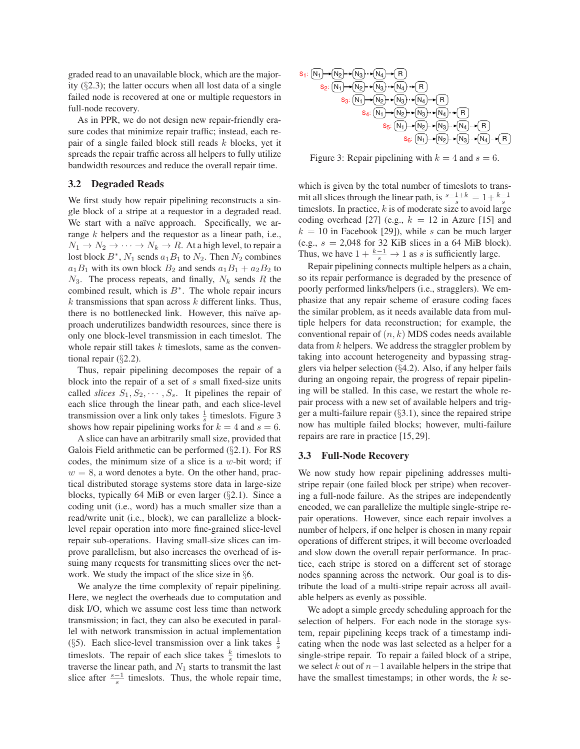graded read to an unavailable block, which are the majority (§2.3); the latter occurs when all lost data of a single failed node is recovered at one or multiple requestors in full-node recovery.

As in PPR, we do not design new repair-friendly erasure codes that minimize repair traffic; instead, each repair of a single failed block still reads  $k$  blocks, yet it spreads the repair traffic across all helpers to fully utilize bandwidth resources and reduce the overall repair time.

## **3.2 Degraded Reads**

We first study how repair pipelining reconstructs a single block of a stripe at a requestor in a degraded read. We start with a naïve approach. Specifically, we arrange k helpers and the requestor as a linear path, i.e.,  $N_1 \rightarrow N_2 \rightarrow \cdots \rightarrow N_k \rightarrow R$ . At a high level, to repair a lost block  $B^*$ ,  $N_1$  sends  $a_1B_1$  to  $N_2$ . Then  $N_2$  combines  $a_1B_1$  with its own block  $B_2$  and sends  $a_1B_1 + a_2B_2$  to  $N_3$ . The process repeats, and finally,  $N_k$  sends R the combined result, which is  $B^*$ . The whole repair incurs  $k$  transmissions that span across  $k$  different links. Thus, there is no bottlenecked link. However, this naïve approach underutilizes bandwidth resources, since there is only one block-level transmission in each timeslot. The whole repair still takes  $k$  timeslots, same as the conventional repair (§2.2).

Thus, repair pipelining decomposes the repair of a block into the repair of a set of s small fixed-size units called *slices*  $S_1, S_2, \cdots, S_s$ . It pipelines the repair of each slice through the linear path, and each slice-level transmission over a link only takes  $\frac{1}{s}$  timeslots. Figure 3 shows how repair pipelining works for  $k = 4$  and  $s = 6$ .

A slice can have an arbitrarily small size, provided that Galois Field arithmetic can be performed (§2.1). For RS codes, the minimum size of a slice is a  $w$ -bit word; if  $w = 8$ , a word denotes a byte. On the other hand, practical distributed storage systems store data in large-size blocks, typically 64 MiB or even larger (§2.1). Since a coding unit (i.e., word) has a much smaller size than a read/write unit (i.e., block), we can parallelize a blocklevel repair operation into more fine-grained slice-level repair sub-operations. Having small-size slices can improve parallelism, but also increases the overhead of issuing many requests for transmitting slices over the network. We study the impact of the slice size in §6.

We analyze the time complexity of repair pipelining. Here, we neglect the overheads due to computation and disk I/O, which we assume cost less time than network transmission; in fact, they can also be executed in parallel with network transmission in actual implementation (§5). Each slice-level transmission over a link takes  $\frac{1}{s}$ timeslots. The repair of each slice takes  $\frac{k}{s}$  timeslots to traverse the linear path, and  $N_1$  starts to transmit the last slice after  $\frac{s-1}{s}$  timeslots. Thus, the whole repair time,



Figure 3: Repair pipelining with  $k = 4$  and  $s = 6$ .

which is given by the total number of timeslots to transmit all slices through the linear path, is  $\frac{s-1+k}{s} = 1 + \frac{k-1}{s}$ timeslots. In practice,  $k$  is of moderate size to avoid large coding overhead [27] (e.g.,  $k = 12$  in Azure [15] and  $k = 10$  in Facebook [29]), while s can be much larger (e.g.,  $s = 2,048$  for 32 KiB slices in a 64 MiB block). Thus, we have  $1 + \frac{k-1}{s} \rightarrow 1$  as s is sufficiently large.

Repair pipelining connects multiple helpers as a chain, so its repair performance is degraded by the presence of poorly performed links/helpers (i.e., stragglers). We emphasize that any repair scheme of erasure coding faces the similar problem, as it needs available data from multiple helpers for data reconstruction; for example, the conventional repair of  $(n, k)$  MDS codes needs available data from  $k$  helpers. We address the straggler problem by taking into account heterogeneity and bypassing stragglers via helper selection (§4.2). Also, if any helper fails during an ongoing repair, the progress of repair pipelining will be stalled. In this case, we restart the whole repair process with a new set of available helpers and trigger a multi-failure repair  $(\S 3.1)$ , since the repaired stripe now has multiple failed blocks; however, multi-failure repairs are rare in practice [15, 29].

## **3.3 Full-Node Recovery**

We now study how repair pipelining addresses multistripe repair (one failed block per stripe) when recovering a full-node failure. As the stripes are independently encoded, we can parallelize the multiple single-stripe repair operations. However, since each repair involves a number of helpers, if one helper is chosen in many repair operations of different stripes, it will become overloaded and slow down the overall repair performance. In practice, each stripe is stored on a different set of storage nodes spanning across the network. Our goal is to distribute the load of a multi-stripe repair across all available helpers as evenly as possible.

We adopt a simple greedy scheduling approach for the selection of helpers. For each node in the storage system, repair pipelining keeps track of a timestamp indicating when the node was last selected as a helper for a single-stripe repair. To repair a failed block of a stripe, we select k out of  $n-1$  available helpers in the stripe that have the smallest timestamps; in other words, the  $k$  se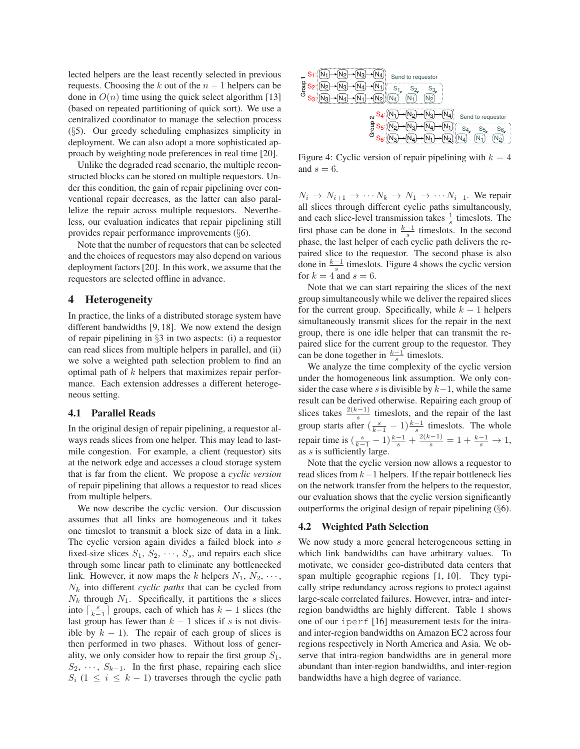lected helpers are the least recently selected in previous requests. Choosing the k out of the  $n - 1$  helpers can be done in  $O(n)$  time using the quick select algorithm [13] (based on repeated partitioning of quick sort). We use a centralized coordinator to manage the selection process (§5). Our greedy scheduling emphasizes simplicity in deployment. We can also adopt a more sophisticated approach by weighting node preferences in real time [20].

Unlike the degraded read scenario, the multiple reconstructed blocks can be stored on multiple requestors. Under this condition, the gain of repair pipelining over conventional repair decreases, as the latter can also parallelize the repair across multiple requestors. Nevertheless, our evaluation indicates that repair pipelining still provides repair performance improvements (§6).

Note that the number of requestors that can be selected and the choices of requestors may also depend on various deployment factors [20]. In this work, we assume that the requestors are selected offline in advance.

## **4 Heterogeneity**

In practice, the links of a distributed storage system have different bandwidths [9, 18]. We now extend the design of repair pipelining in §3 in two aspects: (i) a requestor can read slices from multiple helpers in parallel, and (ii) we solve a weighted path selection problem to find an optimal path of k helpers that maximizes repair performance. Each extension addresses a different heterogeneous setting.

#### **4.1 Parallel Reads**

In the original design of repair pipelining, a requestor always reads slices from one helper. This may lead to lastmile congestion. For example, a client (requestor) sits at the network edge and accesses a cloud storage system that is far from the client. We propose a *cyclic version* of repair pipelining that allows a requestor to read slices from multiple helpers.

We now describe the cyclic version. Our discussion assumes that all links are homogeneous and it takes one timeslot to transmit a block size of data in a link. The cyclic version again divides a failed block into s fixed-size slices  $S_1, S_2, \cdots, S_s$ , and repairs each slice through some linear path to eliminate any bottlenecked link. However, it now maps the k helpers  $N_1, N_2, \cdots$ , N<sup>k</sup> into different *cyclic paths* that can be cycled from  $N_k$  through  $N_1$ . Specifically, it partitions the s slices into  $\lceil \frac{s}{k-1} \rceil$  groups, each of which has  $k-1$  slices (the last group has fewer than  $k - 1$  slices if s is not divisible by  $k - 1$ ). The repair of each group of slices is then performed in two phases. Without loss of generality, we only consider how to repair the first group  $S_1$ ,  $S_2, \dots, S_{k-1}$ . In the first phase, repairing each slice  $S_i$  (1  $\leq i \leq k-1$ ) traverses through the cyclic path

| ٦3.<br>Send to requestor<br>Group<br>53,<br>ు2 |                                           |
|------------------------------------------------|-------------------------------------------|
| ٦q<br>N۹<br>-4<br>$\sim$                       | Send to requestor                         |
| Group                                          | $S_4$<br>$S_5$<br>$S_6$<br>N <sub>2</sub> |

Figure 4: Cyclic version of repair pipelining with  $k = 4$ and  $s = 6$ .

 $N_i \rightarrow N_{i+1} \rightarrow \cdots N_k \rightarrow N_1 \rightarrow \cdots N_{i-1}$ . We repair all slices through different cyclic paths simultaneously, and each slice-level transmission takes  $\frac{1}{s}$  timeslots. The first phase can be done in  $\frac{k-1}{s}$  timeslots. In the second phase, the last helper of each cyclic path delivers the repaired slice to the requestor. The second phase is also done in  $\frac{k-1}{s}$  timeslots. Figure 4 shows the cyclic version for  $k = 4$  and  $s = 6$ .

Note that we can start repairing the slices of the next group simultaneously while we deliver the repaired slices for the current group. Specifically, while  $k - 1$  helpers simultaneously transmit slices for the repair in the next group, there is one idle helper that can transmit the repaired slice for the current group to the requestor. They can be done together in  $\frac{k-1}{s}$  timeslots.

We analyze the time complexity of the cyclic version under the homogeneous link assumption. We only consider the case where s is divisible by  $k-1$ , while the same result can be derived otherwise. Repairing each group of slices takes  $\frac{2(k-1)}{s}$  timeslots, and the repair of the last group starts after  $\left(\frac{s}{k-1} - 1\right) \frac{k-1}{s}$  timeslots. The whole repair time is  $\left(\frac{s}{k-1} - 1\right) \frac{k-1}{s} + \frac{2(k-1)}{s} = 1 + \frac{k-1}{s} \to 1$ , as s is sufficiently large.

Note that the cyclic version now allows a requestor to read slices from  $k-1$  helpers. If the repair bottleneck lies on the network transfer from the helpers to the requestor, our evaluation shows that the cyclic version significantly outperforms the original design of repair pipelining (§6).

#### **4.2 Weighted Path Selection**

We now study a more general heterogeneous setting in which link bandwidths can have arbitrary values. To motivate, we consider geo-distributed data centers that span multiple geographic regions [1, 10]. They typically stripe redundancy across regions to protect against large-scale correlated failures. However, intra- and interregion bandwidths are highly different. Table 1 shows one of our iperf [16] measurement tests for the intraand inter-region bandwidths on Amazon EC2 across four regions respectively in North America and Asia. We observe that intra-region bandwidths are in general more abundant than inter-region bandwidths, and inter-region bandwidths have a high degree of variance.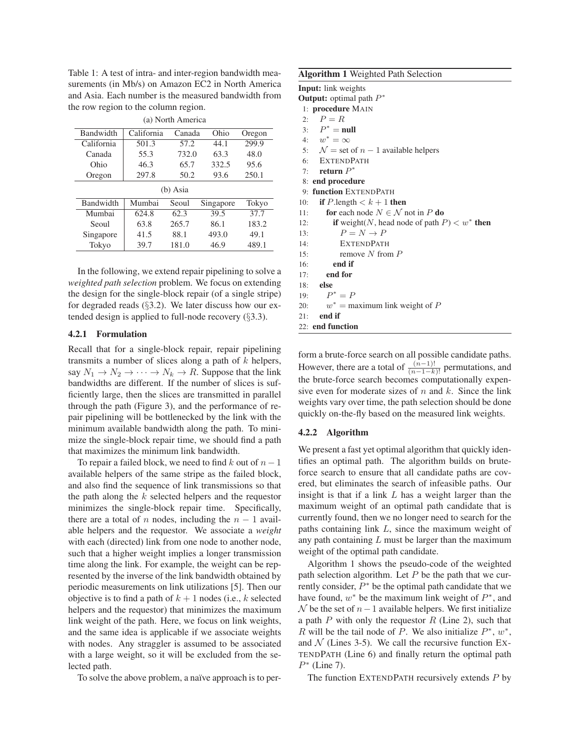Table 1: A test of intra- and inter-region bandwidth measurements (in Mb/s) on Amazon EC2 in North America and Asia. Each number is the measured bandwidth from the row region to the column region.

| (a) North America |            |        |           |        |  |
|-------------------|------------|--------|-----------|--------|--|
| Bandwidth         | California | Canada | Ohio      | Oregon |  |
| California        | 501.3      | 57.2   | 44.1      | 299.9  |  |
| Canada            | 55.3       | 732.0  | 63.3      | 48.0   |  |
| Ohio              | 46.3       | 65.7   | 332.5     | 95.6   |  |
| Oregon            | 297.8      | 50.2   | 93.6      | 250.1  |  |
| (b) Asia          |            |        |           |        |  |
| Bandwidth         | Mumbai     | Seoul  | Singapore | Tokyo  |  |
| Mumbai            | 624.8      | 62.3   | 39.5      | 37.7   |  |
| Seoul             | 63.8       | 265.7  | 86.1      | 183.2  |  |
| Singapore         | 41.5       | 88.1   | 493.0     | 49.1   |  |
| Tokyo             | 39.7       | 181.0  | 46.9      | 489.1  |  |

In the following, we extend repair pipelining to solve a *weighted path selection* problem. We focus on extending the design for the single-block repair (of a single stripe) for degraded reads (§3.2). We later discuss how our extended design is applied to full-node recovery (§3.3).

#### **4.2.1 Formulation**

Recall that for a single-block repair, repair pipelining transmits a number of slices along a path of  $k$  helpers, say  $N_1 \rightarrow N_2 \rightarrow \cdots \rightarrow N_k \rightarrow R$ . Suppose that the link bandwidths are different. If the number of slices is sufficiently large, then the slices are transmitted in parallel through the path (Figure 3), and the performance of repair pipelining will be bottlenecked by the link with the minimum available bandwidth along the path. To minimize the single-block repair time, we should find a path that maximizes the minimum link bandwidth.

To repair a failed block, we need to find  $k$  out of  $n - 1$ available helpers of the same stripe as the failed block, and also find the sequence of link transmissions so that the path along the  $k$  selected helpers and the requestor minimizes the single-block repair time. Specifically, there are a total of n nodes, including the  $n - 1$  available helpers and the requestor. We associate a *weight* with each (directed) link from one node to another node, such that a higher weight implies a longer transmission time along the link. For example, the weight can be represented by the inverse of the link bandwidth obtained by periodic measurements on link utilizations [5]. Then our objective is to find a path of  $k + 1$  nodes (i.e., k selected helpers and the requestor) that minimizes the maximum link weight of the path. Here, we focus on link weights, and the same idea is applicable if we associate weights with nodes. Any straggler is assumed to be associated with a large weight, so it will be excluded from the selected path.

To solve the above problem, a naïve approach is to per-

| <b>Algorithm 1</b> Weighted Path Selection                         |  |
|--------------------------------------------------------------------|--|
| <b>Input:</b> link weights                                         |  |
| <b>Output:</b> optimal path $P^*$                                  |  |
| 1: <b>procedure</b> MAIN                                           |  |
| 2: $P = R$                                                         |  |
| 3: $P^* = \text{null}$                                             |  |
| 4: $w^* = \infty$                                                  |  |
| 5: $\mathcal{N} =$ set of $n - 1$ available helpers                |  |
| 6: EXTENDPATH                                                      |  |
| 7: return $P^*$                                                    |  |
| 8: end procedure                                                   |  |
| 9: function EXTENDPATH                                             |  |
| <b>if</b> P.length $\lt k+1$ then<br>10:                           |  |
| <b>for</b> each node $N \in \mathcal{N}$ not in P <b>do</b><br>11: |  |
| if weight(N, head node of path $P$ ) $< w^*$ then<br>12:           |  |
| $P = N \rightarrow P$<br>13:                                       |  |
| <b>EXTENDPATH</b><br>14:                                           |  |
| remove $N$ from $P$<br>15:                                         |  |
| end if<br>16:                                                      |  |
| end for<br>17:                                                     |  |
| $18:$ else                                                         |  |
| 19: $P^* = P$                                                      |  |
| 20: $w^* =$ maximum link weight of P                               |  |
| end if<br>21:                                                      |  |
| 22: end function                                                   |  |

form a brute-force search on all possible candidate paths. However, there are a total of  $\frac{(\hat{n}-1)!}{(n-1-k)!}$  permutations, and the brute-force search becomes computationally expensive even for moderate sizes of  $n$  and  $k$ . Since the link weights vary over time, the path selection should be done quickly on-the-fly based on the measured link weights.

#### **4.2.2 Algorithm**

We present a fast yet optimal algorithm that quickly identifies an optimal path. The algorithm builds on bruteforce search to ensure that all candidate paths are covered, but eliminates the search of infeasible paths. Our insight is that if a link  $L$  has a weight larger than the maximum weight of an optimal path candidate that is currently found, then we no longer need to search for the paths containing link L, since the maximum weight of any path containing  $L$  must be larger than the maximum weight of the optimal path candidate.

Algorithm 1 shows the pseudo-code of the weighted path selection algorithm. Let  $P$  be the path that we currently consider,  $\overline{P}^*$  be the optimal path candidate that we have found,  $w^*$  be the maximum link weight of  $P^*$ , and  $\mathcal N$  be the set of  $n-1$  available helpers. We first initialize a path  $P$  with only the requestor  $R$  (Line 2), such that R will be the tail node of P. We also initialize  $P^*$ ,  $w^*$ , and  $N$  (Lines 3-5). We call the recursive function Ex-TENDPATH (Line 6) and finally return the optimal path  $P^*$  (Line 7).

The function EXTENDPATH recursively extends P by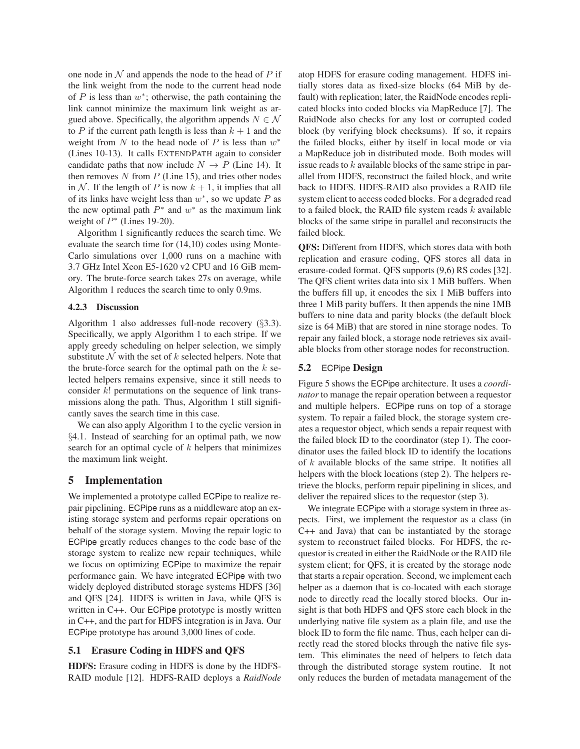one node in  $N$  and appends the node to the head of  $P$  if the link weight from the node to the current head node of  $P$  is less than  $w^*$ ; otherwise, the path containing the link cannot minimize the maximum link weight as argued above. Specifically, the algorithm appends  $N \in \mathcal{N}$ to P if the current path length is less than  $k + 1$  and the weight from N to the head node of P is less than  $w^*$ (Lines 10-13). It calls EXTENDPATH again to consider candidate paths that now include  $N \rightarrow P$  (Line 14). It then removes  $N$  from  $P$  (Line 15), and tries other nodes in N. If the length of P is now  $k + 1$ , it implies that all of its links have weight less than  $w^*$ , so we update  $P$  as the new optimal path  $P^*$  and  $w^*$  as the maximum link weight of  $P^*$  (Lines 19-20).

Algorithm 1 significantly reduces the search time. We evaluate the search time for (14,10) codes using Monte-Carlo simulations over 1,000 runs on a machine with 3.7 GHz Intel Xeon E5-1620 v2 CPU and 16 GiB memory. The brute-force search takes 27s on average, while Algorithm 1 reduces the search time to only 0.9ms.

## **4.2.3 Discussion**

Algorithm 1 also addresses full-node recovery (§3.3). Specifically, we apply Algorithm 1 to each stripe. If we apply greedy scheduling on helper selection, we simply substitute  $N$  with the set of k selected helpers. Note that the brute-force search for the optimal path on the  $k$  selected helpers remains expensive, since it still needs to consider  $k!$  permutations on the sequence of link transmissions along the path. Thus, Algorithm 1 still significantly saves the search time in this case.

We can also apply Algorithm 1 to the cyclic version in §4.1. Instead of searching for an optimal path, we now search for an optimal cycle of  $k$  helpers that minimizes the maximum link weight.

## **5 Implementation**

We implemented a prototype called ECPipe to realize repair pipelining. ECPipe runs as a middleware atop an existing storage system and performs repair operations on behalf of the storage system. Moving the repair logic to ECPipe greatly reduces changes to the code base of the storage system to realize new repair techniques, while we focus on optimizing ECPipe to maximize the repair performance gain. We have integrated ECPipe with two widely deployed distributed storage systems HDFS [36] and QFS [24]. HDFS is written in Java, while QFS is written in C++. Our ECPipe prototype is mostly written in C++, and the part for HDFS integration is in Java. Our ECPipe prototype has around 3,000 lines of code.

## **5.1 Erasure Coding in HDFS and QFS**

**HDFS:** Erasure coding in HDFS is done by the HDFS-RAID module [12]. HDFS-RAID deploys a *RaidNode* atop HDFS for erasure coding management. HDFS initially stores data as fixed-size blocks (64 MiB by default) with replication; later, the RaidNode encodes replicated blocks into coded blocks via MapReduce [7]. The RaidNode also checks for any lost or corrupted coded block (by verifying block checksums). If so, it repairs the failed blocks, either by itself in local mode or via a MapReduce job in distributed mode. Both modes will issue reads to  $k$  available blocks of the same stripe in parallel from HDFS, reconstruct the failed block, and write back to HDFS. HDFS-RAID also provides a RAID file system client to access coded blocks. For a degraded read to a failed block, the RAID file system reads  $k$  available blocks of the same stripe in parallel and reconstructs the failed block.

**QFS:** Different from HDFS, which stores data with both replication and erasure coding, QFS stores all data in erasure-coded format. QFS supports (9,6) RS codes [32]. The QFS client writes data into six 1 MiB buffers. When the buffers fill up, it encodes the six 1 MiB buffers into three 1 MiB parity buffers. It then appends the nine 1MB buffers to nine data and parity blocks (the default block size is 64 MiB) that are stored in nine storage nodes. To repair any failed block, a storage node retrieves six available blocks from other storage nodes for reconstruction.

### **5.2** ECPipe **Design**

Figure 5 shows the ECPipe architecture. It uses a *coordinator* to manage the repair operation between a requestor and multiple helpers. ECPipe runs on top of a storage system. To repair a failed block, the storage system creates a requestor object, which sends a repair request with the failed block ID to the coordinator (step 1). The coordinator uses the failed block ID to identify the locations of  $k$  available blocks of the same stripe. It notifies all helpers with the block locations (step 2). The helpers retrieve the blocks, perform repair pipelining in slices, and deliver the repaired slices to the requestor (step 3).

We integrate ECPipe with a storage system in three aspects. First, we implement the requestor as a class (in C++ and Java) that can be instantiated by the storage system to reconstruct failed blocks. For HDFS, the requestor is created in either the RaidNode or the RAID file system client; for QFS, it is created by the storage node that starts a repair operation. Second, we implement each helper as a daemon that is co-located with each storage node to directly read the locally stored blocks. Our insight is that both HDFS and QFS store each block in the underlying native file system as a plain file, and use the block ID to form the file name. Thus, each helper can directly read the stored blocks through the native file system. This eliminates the need of helpers to fetch data through the distributed storage system routine. It not only reduces the burden of metadata management of the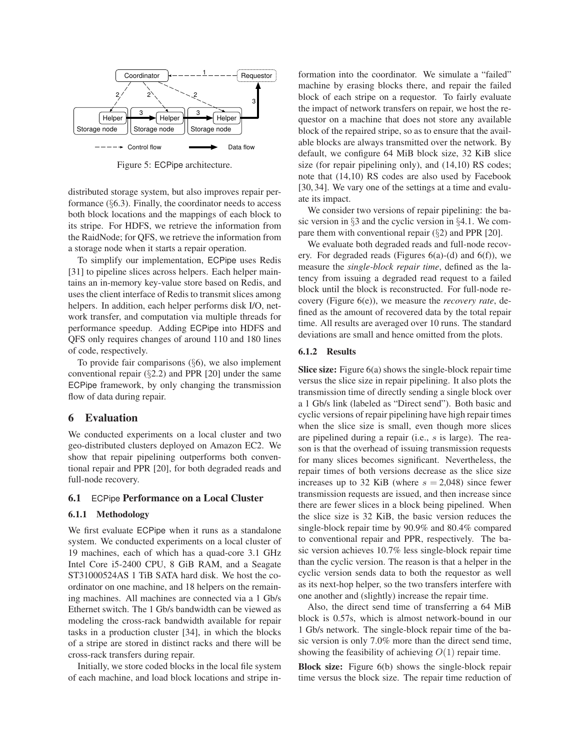

Figure 5: ECPipe architecture.

distributed storage system, but also improves repair performance  $(\S6.3)$ . Finally, the coordinator needs to access both block locations and the mappings of each block to its stripe. For HDFS, we retrieve the information from the RaidNode; for QFS, we retrieve the information from a storage node when it starts a repair operation.

To simplify our implementation, ECPipe uses Redis [31] to pipeline slices across helpers. Each helper maintains an in-memory key-value store based on Redis, and uses the client interface of Redis to transmit slices among helpers. In addition, each helper performs disk I/O, network transfer, and computation via multiple threads for performance speedup. Adding ECPipe into HDFS and QFS only requires changes of around 110 and 180 lines of code, respectively.

To provide fair comparisons  $(\S 6)$ , we also implement conventional repair  $(\S2.2)$  and PPR [20] under the same ECPipe framework, by only changing the transmission flow of data during repair.

## **6 Evaluation**

We conducted experiments on a local cluster and two geo-distributed clusters deployed on Amazon EC2. We show that repair pipelining outperforms both conventional repair and PPR [20], for both degraded reads and full-node recovery.

### **6.1** ECPipe **Performance on a Local Cluster**

### **6.1.1 Methodology**

We first evaluate ECPipe when it runs as a standalone system. We conducted experiments on a local cluster of 19 machines, each of which has a quad-core 3.1 GHz Intel Core i5-2400 CPU, 8 GiB RAM, and a Seagate ST31000524AS 1 TiB SATA hard disk. We host the coordinator on one machine, and 18 helpers on the remaining machines. All machines are connected via a 1 Gb/s Ethernet switch. The 1 Gb/s bandwidth can be viewed as modeling the cross-rack bandwidth available for repair tasks in a production cluster [34], in which the blocks of a stripe are stored in distinct racks and there will be cross-rack transfers during repair.

Initially, we store coded blocks in the local file system of each machine, and load block locations and stripe information into the coordinator. We simulate a "failed" machine by erasing blocks there, and repair the failed block of each stripe on a requestor. To fairly evaluate the impact of network transfers on repair, we host the requestor on a machine that does not store any available block of the repaired stripe, so as to ensure that the available blocks are always transmitted over the network. By default, we configure 64 MiB block size, 32 KiB slice size (for repair pipelining only), and  $(14,10)$  RS codes; note that (14,10) RS codes are also used by Facebook [30, 34]. We vary one of the settings at a time and evaluate its impact.

We consider two versions of repair pipelining: the basic version in §3 and the cyclic version in §4.1. We compare them with conventional repair (§2) and PPR [20].

We evaluate both degraded reads and full-node recovery. For degraded reads (Figures  $6(a)-(d)$  and  $6(f)$ ), we measure the *single-block repair time*, defined as the latency from issuing a degraded read request to a failed block until the block is reconstructed. For full-node recovery (Figure 6(e)), we measure the *recovery rate*, defined as the amount of recovered data by the total repair time. All results are averaged over 10 runs. The standard deviations are small and hence omitted from the plots.

#### **6.1.2 Results**

**Slice size:** Figure 6(a) shows the single-block repair time versus the slice size in repair pipelining. It also plots the transmission time of directly sending a single block over a 1 Gb/s link (labeled as "Direct send"). Both basic and cyclic versions of repair pipelining have high repair times when the slice size is small, even though more slices are pipelined during a repair (i.e., s is large). The reason is that the overhead of issuing transmission requests for many slices becomes significant. Nevertheless, the repair times of both versions decrease as the slice size increases up to 32 KiB (where  $s = 2,048$ ) since fewer transmission requests are issued, and then increase since there are fewer slices in a block being pipelined. When the slice size is 32 KiB, the basic version reduces the single-block repair time by 90.9% and 80.4% compared to conventional repair and PPR, respectively. The basic version achieves 10.7% less single-block repair time than the cyclic version. The reason is that a helper in the cyclic version sends data to both the requestor as well as its next-hop helper, so the two transfers interfere with one another and (slightly) increase the repair time.

Also, the direct send time of transferring a 64 MiB block is 0.57s, which is almost network-bound in our 1 Gb/s network. The single-block repair time of the basic version is only 7.0% more than the direct send time, showing the feasibility of achieving  $O(1)$  repair time.

**Block size:** Figure 6(b) shows the single-block repair time versus the block size. The repair time reduction of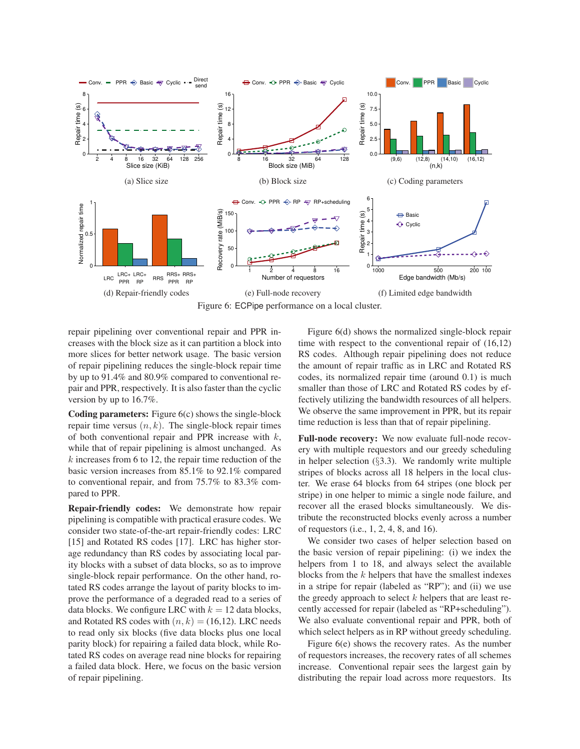

Figure 6: ECPipe performance on a local cluster.

repair pipelining over conventional repair and PPR increases with the block size as it can partition a block into more slices for better network usage. The basic version of repair pipelining reduces the single-block repair time by up to 91.4% and 80.9% compared to conventional repair and PPR, respectively. It is also faster than the cyclic version by up to 16.7%.

**Coding parameters:** Figure 6(c) shows the single-block repair time versus  $(n, k)$ . The single-block repair times of both conventional repair and PPR increase with  $k$ , while that of repair pipelining is almost unchanged. As  $k$  increases from 6 to 12, the repair time reduction of the basic version increases from 85.1% to 92.1% compared to conventional repair, and from 75.7% to 83.3% compared to PPR.

**Repair-friendly codes:** We demonstrate how repair pipelining is compatible with practical erasure codes. We consider two state-of-the-art repair-friendly codes: LRC [15] and Rotated RS codes [17]. LRC has higher storage redundancy than RS codes by associating local parity blocks with a subset of data blocks, so as to improve single-block repair performance. On the other hand, rotated RS codes arrange the layout of parity blocks to improve the performance of a degraded read to a series of data blocks. We configure LRC with  $k = 12$  data blocks, and Rotated RS codes with  $(n, k) = (16, 12)$ . LRC needs to read only six blocks (five data blocks plus one local parity block) for repairing a failed data block, while Rotated RS codes on average read nine blocks for repairing a failed data block. Here, we focus on the basic version of repair pipelining.

Figure 6(d) shows the normalized single-block repair time with respect to the conventional repair of (16,12) RS codes. Although repair pipelining does not reduce the amount of repair traffic as in LRC and Rotated RS codes, its normalized repair time (around 0.1) is much smaller than those of LRC and Rotated RS codes by effectively utilizing the bandwidth resources of all helpers. We observe the same improvement in PPR, but its repair time reduction is less than that of repair pipelining.

**Full-node recovery:** We now evaluate full-node recovery with multiple requestors and our greedy scheduling in helper selection  $(\S3.3)$ . We randomly write multiple stripes of blocks across all 18 helpers in the local cluster. We erase 64 blocks from 64 stripes (one block per stripe) in one helper to mimic a single node failure, and recover all the erased blocks simultaneously. We distribute the reconstructed blocks evenly across a number of requestors (i.e., 1, 2, 4, 8, and 16).

We consider two cases of helper selection based on the basic version of repair pipelining: (i) we index the helpers from 1 to 18, and always select the available blocks from the  $k$  helpers that have the smallest indexes in a stripe for repair (labeled as "RP"); and (ii) we use the greedy approach to select  $k$  helpers that are least recently accessed for repair (labeled as "RP+scheduling"). We also evaluate conventional repair and PPR, both of which select helpers as in RP without greedy scheduling.

Figure 6(e) shows the recovery rates. As the number of requestors increases, the recovery rates of all schemes increase. Conventional repair sees the largest gain by distributing the repair load across more requestors. Its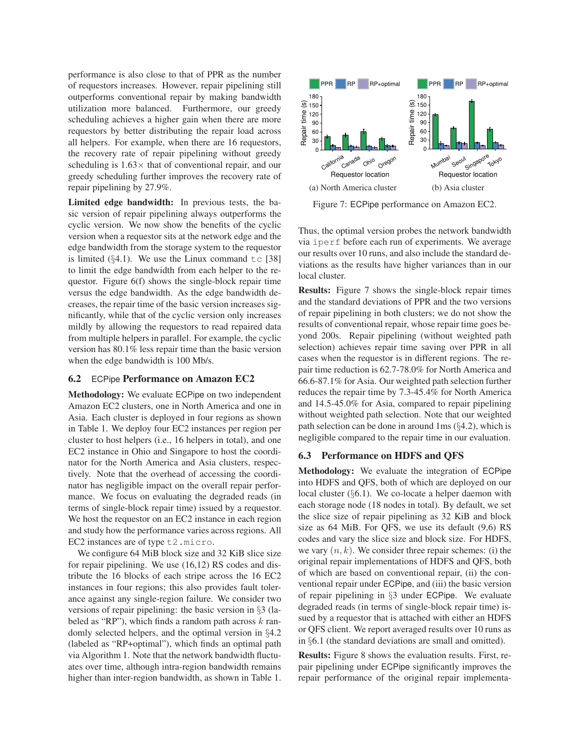performance is also close to that of PPR as the number of requestors increases. However, repair pipelining still outperforms conventional repair by making bandwidth utilization more balanced. Furthermore, our greedy scheduling achieves a higher gain when there are more requestors by better distributing the repair load across all helpers. For example, when there are 16 requestors, the recovery rate of repair pipelining without greedy scheduling is 1.63× that of conventional repair, and our greedy scheduling further improves the recovery rate of repair pipelining by 27.9%.

**Limited edge bandwidth:** In previous tests, the basic version of repair pipelining always outperforms the cyclic version. We now show the benefits of the cyclic version when a requestor sits at the network edge and the edge bandwidth from the storage system to the requestor is limited  $(\S 4.1)$ . We use the Linux command  $\pm c$  [38] to limit the edge bandwidth from each helper to the requestor. Figure 6(f) shows the single-block repair time versus the edge bandwidth. As the edge bandwidth decreases, the repair time of the basic version increases significantly, while that of the cyclic version only increases mildly by allowing the requestors to read repaired data from multiple helpers in parallel. For example, the cyclic version has 80.1% less repair time than the basic version when the edge bandwidth is 100 Mb/s.

### **6.2** ECPipe **Performance on Amazon EC2**

**Methodology:** We evaluate ECPipe on two independent Amazon EC2 clusters, one in North America and one in Asia. Each cluster is deployed in four regions as shown in Table 1. We deploy four EC2 instances per region per cluster to host helpers (i.e., 16 helpers in total), and one EC2 instance in Ohio and Singapore to host the coordinator for the North America and Asia clusters, respectively. Note that the overhead of accessing the coordinator has negligible impact on the overall repair performance. We focus on evaluating the degraded reads (in terms of single-block repair time) issued by a requestor. We host the requestor on an EC2 instance in each region and study how the performance varies across regions. All EC2 instances are of type t2.micro.

We configure 64 MiB block size and 32 KiB slice size for repair pipelining. We use (16,12) RS codes and distribute the 16 blocks of each stripe across the 16 EC2 instances in four regions; this also provides fault tolerance against any single-region failure. We consider two versions of repair pipelining: the basic version in §3 (labeled as "RP"), which finds a random path across  $k$  randomly selected helpers, and the optimal version in §4.2 (labeled as "RP+optimal"), which finds an optimal path via Algorithm 1. Note that the network bandwidth fluctuates over time, although intra-region bandwidth remains higher than inter-region bandwidth, as shown in Table 1.



Figure 7: ECPipe performance on Amazon EC2.

Thus, the optimal version probes the network bandwidth via iperf before each run of experiments. We average our results over 10 runs, and also include the standard deviations as the results have higher variances than in our local cluster.

**Results:** Figure 7 shows the single-block repair times and the standard deviations of PPR and the two versions of repair pipelining in both clusters; we do not show the results of conventional repair, whose repair time goes beyond 200s. Repair pipelining (without weighted path selection) achieves repair time saving over PPR in all cases when the requestor is in different regions. The repair time reduction is 62.7-78.0% for North America and 66.6-87.1% for Asia. Our weighted path selection further reduces the repair time by 7.3-45.4% for North America and 14.5-45.0% for Asia, compared to repair pipelining without weighted path selection. Note that our weighted path selection can be done in around 1ms (§4.2), which is negligible compared to the repair time in our evaluation.

## **6.3 Performance on HDFS and QFS**

**Methodology:** We evaluate the integration of ECPipe into HDFS and QFS, both of which are deployed on our local cluster (§6.1). We co-locate a helper daemon with each storage node (18 nodes in total). By default, we set the slice size of repair pipelining as 32 KiB and block size as 64 MiB. For QFS, we use its default (9,6) RS codes and vary the slice size and block size. For HDFS, we vary  $(n, k)$ . We consider three repair schemes: (i) the original repair implementations of HDFS and QFS, both of which are based on conventional repair, (ii) the conventional repair under ECPipe, and (iii) the basic version of repair pipelining in §3 under ECPipe. We evaluate degraded reads (in terms of single-block repair time) issued by a requestor that is attached with either an HDFS or QFS client. We report averaged results over 10 runs as in §6.1 (the standard deviations are small and omitted).

**Results:** Figure 8 shows the evaluation results. First, repair pipelining under ECPipe significantly improves the repair performance of the original repair implementa-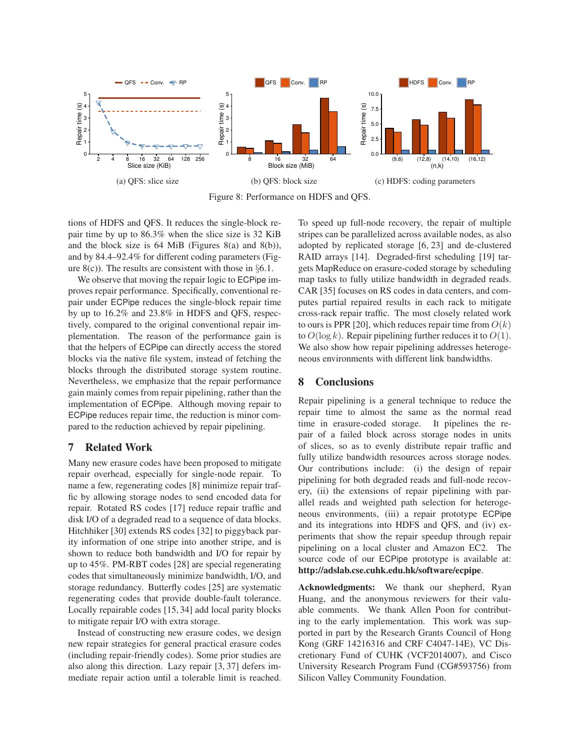

Figure 8: Performance on HDFS and QFS.

tions of HDFS and QFS. It reduces the single-block repair time by up to 86.3% when the slice size is 32 KiB and the block size is  $64$  MiB (Figures 8(a) and 8(b)), and by 84.4–92.4% for different coding parameters (Figure  $8(c)$ ). The results are consistent with those in §6.1.

We observe that moving the repair logic to ECPipe improves repair performance. Specifically, conventional repair under ECPipe reduces the single-block repair time by up to 16.2% and 23.8% in HDFS and QFS, respectively, compared to the original conventional repair implementation. The reason of the performance gain is that the helpers of ECPipe can directly access the stored blocks via the native file system, instead of fetching the blocks through the distributed storage system routine. Nevertheless, we emphasize that the repair performance gain mainly comes from repair pipelining, rather than the implementation of ECPipe. Although moving repair to ECPipe reduces repair time, the reduction is minor compared to the reduction achieved by repair pipelining.

# **7 Related Work**

Many new erasure codes have been proposed to mitigate repair overhead, especially for single-node repair. To name a few, regenerating codes [8] minimize repair traffic by allowing storage nodes to send encoded data for repair. Rotated RS codes [17] reduce repair traffic and disk I/O of a degraded read to a sequence of data blocks. Hitchhiker [30] extends RS codes [32] to piggyback parity information of one stripe into another stripe, and is shown to reduce both bandwidth and I/O for repair by up to 45%. PM-RBT codes [28] are special regenerating codes that simultaneously minimize bandwidth, I/O, and storage redundancy. Butterfly codes [25] are systematic regenerating codes that provide double-fault tolerance. Locally repairable codes [15, 34] add local parity blocks to mitigate repair I/O with extra storage.

Instead of constructing new erasure codes, we design new repair strategies for general practical erasure codes (including repair-friendly codes). Some prior studies are also along this direction. Lazy repair [3, 37] defers immediate repair action until a tolerable limit is reached. To speed up full-node recovery, the repair of multiple stripes can be parallelized across available nodes, as also adopted by replicated storage [6, 23] and de-clustered RAID arrays [14]. Degraded-first scheduling [19] targets MapReduce on erasure-coded storage by scheduling map tasks to fully utilize bandwidth in degraded reads. CAR [35] focuses on RS codes in data centers, and computes partial repaired results in each rack to mitigate cross-rack repair traffic. The most closely related work to ours is PPR [20], which reduces repair time from  $O(k)$ to  $O(\log k)$ . Repair pipelining further reduces it to  $O(1)$ . We also show how repair pipelining addresses heterogeneous environments with different link bandwidths.

# **8 Conclusions**

Repair pipelining is a general technique to reduce the repair time to almost the same as the normal read time in erasure-coded storage. It pipelines the repair of a failed block across storage nodes in units of slices, so as to evenly distribute repair traffic and fully utilize bandwidth resources across storage nodes. Our contributions include: (i) the design of repair pipelining for both degraded reads and full-node recovery, (ii) the extensions of repair pipelining with parallel reads and weighted path selection for heterogeneous environments, (iii) a repair prototype ECPipe and its integrations into HDFS and QFS, and (iv) experiments that show the repair speedup through repair pipelining on a local cluster and Amazon EC2. The source code of our ECPipe prototype is available at: **http://adslab.cse.cuhk.edu.hk/software/ecpipe**.

**Acknowledgments:** We thank our shepherd, Ryan Huang, and the anonymous reviewers for their valuable comments. We thank Allen Poon for contributing to the early implementation. This work was supported in part by the Research Grants Council of Hong Kong (GRF 14216316 and CRF C4047-14E), VC Discretionary Fund of CUHK (VCF2014007), and Cisco University Research Program Fund (CG#593756) from Silicon Valley Community Foundation.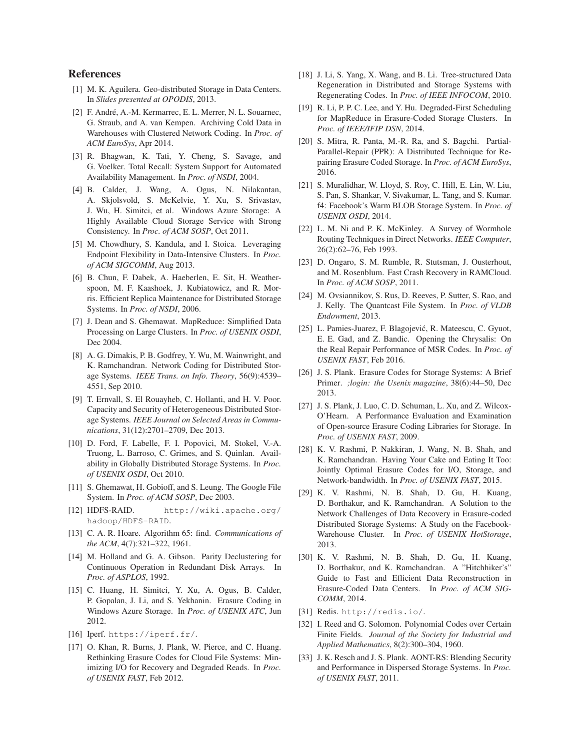## **References**

- [1] M. K. Aguilera. Geo-distributed Storage in Data Centers. In *Slides presented at OPODIS*, 2013.
- [2] F. André, A.-M. Kermarrec, E. L. Merrer, N. L. Souarnec, G. Straub, and A. van Kempen. Archiving Cold Data in Warehouses with Clustered Network Coding. In *Proc. of ACM EuroSys*, Apr 2014.
- [3] R. Bhagwan, K. Tati, Y. Cheng, S. Savage, and G. Voelker. Total Recall: System Support for Automated Availability Management. In *Proc. of NSDI*, 2004.
- [4] B. Calder, J. Wang, A. Ogus, N. Nilakantan, A. Skjolsvold, S. McKelvie, Y. Xu, S. Srivastav, J. Wu, H. Simitci, et al. Windows Azure Storage: A Highly Available Cloud Storage Service with Strong Consistency. In *Proc. of ACM SOSP*, Oct 2011.
- [5] M. Chowdhury, S. Kandula, and I. Stoica. Leveraging Endpoint Flexibility in Data-Intensive Clusters. In *Proc. of ACM SIGCOMM*, Aug 2013.
- [6] B. Chun, F. Dabek, A. Haeberlen, E. Sit, H. Weatherspoon, M. F. Kaashoek, J. Kubiatowicz, and R. Morris. Efficient Replica Maintenance for Distributed Storage Systems. In *Proc. of NSDI*, 2006.
- [7] J. Dean and S. Ghemawat. MapReduce: Simplified Data Processing on Large Clusters. In *Proc. of USENIX OSDI*, Dec 2004.
- [8] A. G. Dimakis, P. B. Godfrey, Y. Wu, M. Wainwright, and K. Ramchandran. Network Coding for Distributed Storage Systems. *IEEE Trans. on Info. Theory*, 56(9):4539– 4551, Sep 2010.
- [9] T. Ernvall, S. El Rouayheb, C. Hollanti, and H. V. Poor. Capacity and Security of Heterogeneous Distributed Storage Systems. *IEEE Journal on Selected Areas in Communications*, 31(12):2701–2709, Dec 2013.
- [10] D. Ford, F. Labelle, F. I. Popovici, M. Stokel, V.-A. Truong, L. Barroso, C. Grimes, and S. Quinlan. Availability in Globally Distributed Storage Systems. In *Proc. of USENIX OSDI*, Oct 2010.
- [11] S. Ghemawat, H. Gobioff, and S. Leung. The Google File System. In *Proc. of ACM SOSP*, Dec 2003.
- [12] HDFS-RAID. http://wiki.apache.org/ hadoop/HDFS-RAID.
- [13] C. A. R. Hoare. Algorithm 65: find. *Communications of the ACM*, 4(7):321–322, 1961.
- [14] M. Holland and G. A. Gibson. Parity Declustering for Continuous Operation in Redundant Disk Arrays. In *Proc. of ASPLOS*, 1992.
- [15] C. Huang, H. Simitci, Y. Xu, A. Ogus, B. Calder, P. Gopalan, J. Li, and S. Yekhanin. Erasure Coding in Windows Azure Storage. In *Proc. of USENIX ATC*, Jun 2012.
- [16] Iperf. https://iperf.fr/.
- [17] O. Khan, R. Burns, J. Plank, W. Pierce, and C. Huang. Rethinking Erasure Codes for Cloud File Systems: Minimizing I/O for Recovery and Degraded Reads. In *Proc. of USENIX FAST*, Feb 2012.
- [18] J. Li, S. Yang, X. Wang, and B. Li. Tree-structured Data Regeneration in Distributed and Storage Systems with Regenerating Codes. In *Proc. of IEEE INFOCOM*, 2010.
- [19] R. Li, P. P. C. Lee, and Y. Hu. Degraded-First Scheduling for MapReduce in Erasure-Coded Storage Clusters. In *Proc. of IEEE/IFIP DSN*, 2014.
- [20] S. Mitra, R. Panta, M.-R. Ra, and S. Bagchi. Partial-Parallel-Repair (PPR): A Distributed Technique for Repairing Erasure Coded Storage. In *Proc. of ACM EuroSys*, 2016.
- [21] S. Muralidhar, W. Lloyd, S. Roy, C. Hill, E. Lin, W. Liu, S. Pan, S. Shankar, V. Sivakumar, L. Tang, and S. Kumar. f4: Facebook's Warm BLOB Storage System. In *Proc. of USENIX OSDI*, 2014.
- [22] L. M. Ni and P. K. McKinley. A Survey of Wormhole Routing Techniques in Direct Networks. *IEEE Computer*, 26(2):62–76, Feb 1993.
- [23] D. Ongaro, S. M. Rumble, R. Stutsman, J. Ousterhout, and M. Rosenblum. Fast Crash Recovery in RAMCloud. In *Proc. of ACM SOSP*, 2011.
- [24] M. Ovsiannikov, S. Rus, D. Reeves, P. Sutter, S. Rao, and J. Kelly. The Quantcast File System. In *Proc. of VLDB Endowment*, 2013.
- [25] L. Pamies-Juarez, F. Blagojević, R. Mateescu, C. Gyuot, E. E. Gad, and Z. Bandic. Opening the Chrysalis: On the Real Repair Performance of MSR Codes. In *Proc. of USENIX FAST*, Feb 2016.
- [26] J. S. Plank. Erasure Codes for Storage Systems: A Brief Primer. *;login: the Usenix magazine*, 38(6):44–50, Dec 2013.
- [27] J. S. Plank, J. Luo, C. D. Schuman, L. Xu, and Z. Wilcox-O'Hearn. A Performance Evaluation and Examination of Open-source Erasure Coding Libraries for Storage. In *Proc. of USENIX FAST*, 2009.
- [28] K. V. Rashmi, P. Nakkiran, J. Wang, N. B. Shah, and K. Ramchandran. Having Your Cake and Eating It Too: Jointly Optimal Erasure Codes for I/O, Storage, and Network-bandwidth. In *Proc. of USENIX FAST*, 2015.
- [29] K. V. Rashmi, N. B. Shah, D. Gu, H. Kuang, D. Borthakur, and K. Ramchandran. A Solution to the Network Challenges of Data Recovery in Erasure-coded Distributed Storage Systems: A Study on the Facebook-Warehouse Cluster. In *Proc. of USENIX HotStorage*, 2013.
- [30] K. V. Rashmi, N. B. Shah, D. Gu, H. Kuang, D. Borthakur, and K. Ramchandran. A "Hitchhiker's" Guide to Fast and Efficient Data Reconstruction in Erasure-Coded Data Centers. In *Proc. of ACM SIG-COMM*, 2014.
- [31] Redis. http://redis.io/.
- [32] I. Reed and G. Solomon. Polynomial Codes over Certain Finite Fields. *Journal of the Society for Industrial and Applied Mathematics*, 8(2):300–304, 1960.
- [33] J. K. Resch and J. S. Plank. AONT-RS: Blending Security and Performance in Dispersed Storage Systems. In *Proc. of USENIX FAST*, 2011.